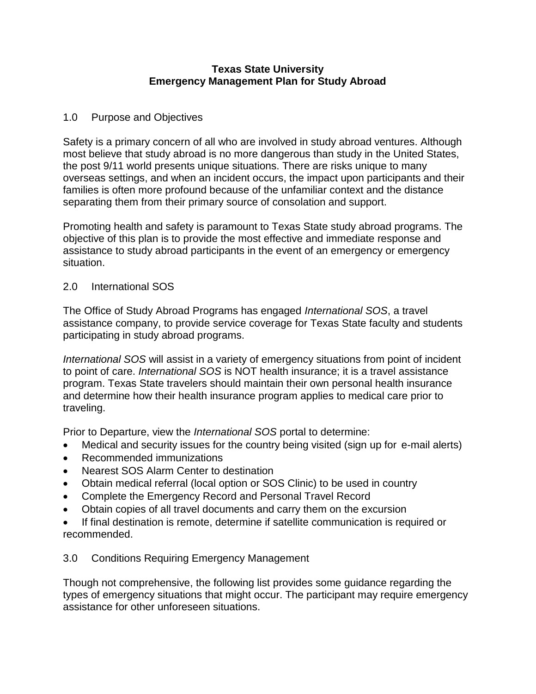## **Texas State University Emergency Management Plan for Study Abroad**

## 1.0 Purpose and Objectives

Safety is a primary concern of all who are involved in study abroad ventures. Although most believe that study abroad is no more dangerous than study in the United States, the post 9/11 world presents unique situations. There are risks unique to many overseas settings, and when an incident occurs, the impact upon participants and their families is often more profound because of the unfamiliar context and the distance separating them from their primary source of consolation and support.

Promoting health and safety is paramount to Texas State study abroad programs. The objective of this plan is to provide the most effective and immediate response and assistance to study abroad participants in the event of an emergency or emergency situation.

## 2.0 International SOS

The Office of Study Abroad Programs has engaged *International SOS*, a travel assistance company, to provide service coverage for Texas State faculty and students participating in study abroad programs.

*International SOS* will assist in a variety of emergency situations from point of incident to point of care. *International SOS* is NOT health insurance; it is a travel assistance program. Texas State travelers should maintain their own personal health insurance and determine how their health insurance program applies to medical care prior to traveling.

Prior to Departure, view the *International SOS* portal to determine:

- Medical and security issues for the country being visited (sign up for e-mail alerts)
- Recommended immunizations
- Nearest SOS Alarm Center to destination
- Obtain medical referral (local option or SOS Clinic) to be used in country
- Complete the Emergency Record and Personal Travel Record
- Obtain copies of all travel documents and carry them on the excursion
- If final destination is remote, determine if satellite communication is required or recommended.

## 3.0 Conditions Requiring Emergency Management

Though not comprehensive, the following list provides some guidance regarding the types of emergency situations that might occur. The participant may require emergency assistance for other unforeseen situations.